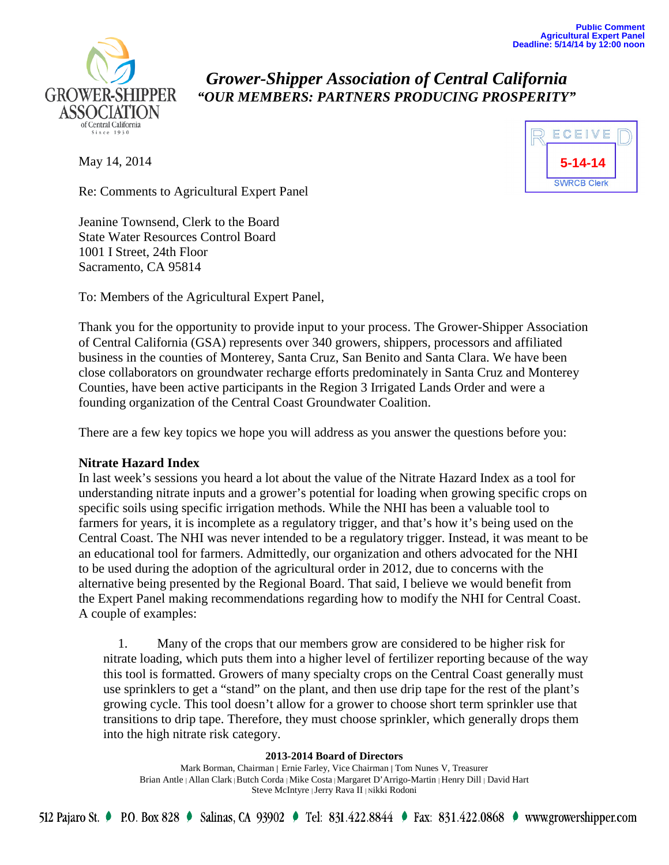

# *Grower-Shipper Association of Central California "OUR MEMBERS: PARTNERS PRODUCING PROSPERITY"*

May 14, 2014



Re: Comments to Agricultural Expert Panel

Jeanine Townsend, Clerk to the Board State Water Resources Control Board 1001 I Street, 24th Floor Sacramento, CA 95814

To: Members of the Agricultural Expert Panel,

Thank you for the opportunity to provide input to your process. The Grower-Shipper Association of Central California (GSA) represents over 340 growers, shippers, processors and affiliated business in the counties of Monterey, Santa Cruz, San Benito and Santa Clara. We have been close collaborators on groundwater recharge efforts predominately in Santa Cruz and Monterey Counties, have been active participants in the Region 3 Irrigated Lands Order and were a founding organization of the Central Coast Groundwater Coalition.

There are a few key topics we hope you will address as you answer the questions before you:

# **Nitrate Hazard Index**

In last week's sessions you heard a lot about the value of the Nitrate Hazard Index as a tool for understanding nitrate inputs and a grower's potential for loading when growing specific crops on specific soils using specific irrigation methods. While the NHI has been a valuable tool to farmers for years, it is incomplete as a regulatory trigger, and that's how it's being used on the Central Coast. The NHI was never intended to be a regulatory trigger. Instead, it was meant to be an educational tool for farmers. Admittedly, our organization and others advocated for the NHI to be used during the adoption of the agricultural order in 2012, due to concerns with the alternative being presented by the Regional Board. That said, I believe we would benefit from the Expert Panel making recommendations regarding how to modify the NHI for Central Coast. A couple of examples:

1. Many of the crops that our members grow are considered to be higher risk for nitrate loading, which puts them into a higher level of fertilizer reporting because of the way this tool is formatted. Growers of many specialty crops on the Central Coast generally must use sprinklers to get a "stand" on the plant, and then use drip tape for the rest of the plant's growing cycle. This tool doesn't allow for a grower to choose short term sprinkler use that transitions to drip tape. Therefore, they must choose sprinkler, which generally drops them into the high nitrate risk category.

## **2013-2014 Board of Directors**

Mark Borman, Chairman | Ernie Farley, Vice Chairman | Tom Nunes V, Treasurer Brian Antle | Allan Clark |Butch Corda | Mike Costa | Margaret D'Arrigo-Martin | Henry Dill | David Hart Steve McIntyre | Jerry Rava II | Nikki Rodoni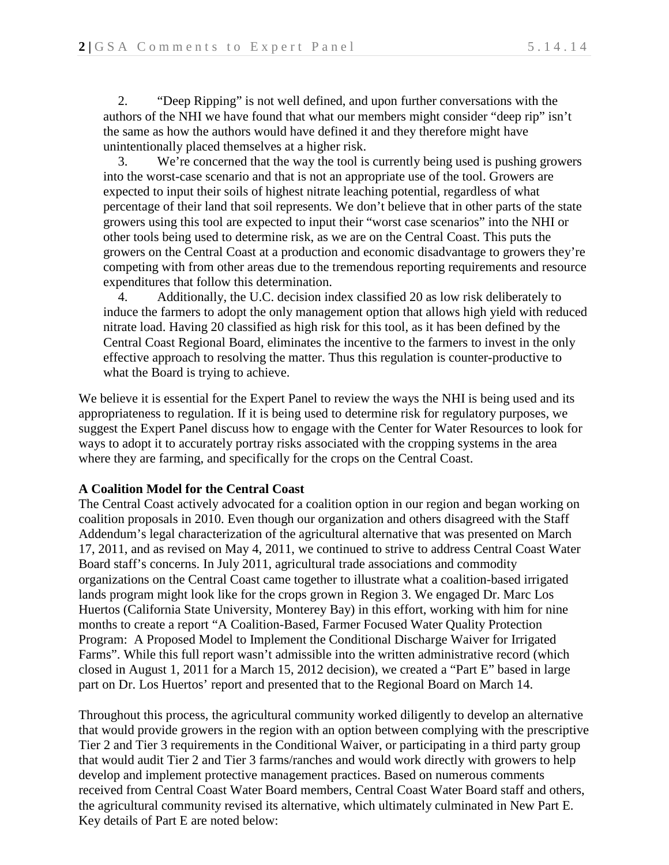2. "Deep Ripping" is not well defined, and upon further conversations with the authors of the NHI we have found that what our members might consider "deep rip" isn't the same as how the authors would have defined it and they therefore might have unintentionally placed themselves at a higher risk.

3. We're concerned that the way the tool is currently being used is pushing growers into the worst-case scenario and that is not an appropriate use of the tool. Growers are expected to input their soils of highest nitrate leaching potential, regardless of what percentage of their land that soil represents. We don't believe that in other parts of the state growers using this tool are expected to input their "worst case scenarios" into the NHI or other tools being used to determine risk, as we are on the Central Coast. This puts the growers on the Central Coast at a production and economic disadvantage to growers they're competing with from other areas due to the tremendous reporting requirements and resource expenditures that follow this determination.

Additionally, the U.C. decision index classified 20 as low risk deliberately to induce the farmers to adopt the only management option that allows high yield with reduced nitrate load. Having 20 classified as high risk for this tool, as it has been defined by the Central Coast Regional Board, eliminates the incentive to the farmers to invest in the only effective approach to resolving the matter. Thus this regulation is counter-productive to what the Board is trying to achieve.

We believe it is essential for the Expert Panel to review the ways the NHI is being used and its appropriateness to regulation. If it is being used to determine risk for regulatory purposes, we suggest the Expert Panel discuss how to engage with the Center for Water Resources to look for ways to adopt it to accurately portray risks associated with the cropping systems in the area where they are farming, and specifically for the crops on the Central Coast.

#### **A Coalition Model for the Central Coast**

The Central Coast actively advocated for a coalition option in our region and began working on coalition proposals in 2010. Even though our organization and others disagreed with the Staff Addendum's legal characterization of the agricultural alternative that was presented on March 17, 2011, and as revised on May 4, 2011, we continued to strive to address Central Coast Water Board staff's concerns. In July 2011, agricultural trade associations and commodity organizations on the Central Coast came together to illustrate what a coalition-based irrigated lands program might look like for the crops grown in Region 3. We engaged Dr. Marc Los Huertos (California State University, Monterey Bay) in this effort, working with him for nine months to create a report "A Coalition-Based, Farmer Focused Water Quality Protection Program: A Proposed Model to Implement the Conditional Discharge Waiver for Irrigated Farms". While this full report wasn't admissible into the written administrative record (which closed in August 1, 2011 for a March 15, 2012 decision), we created a "Part E" based in large part on Dr. Los Huertos' report and presented that to the Regional Board on March 14.

Throughout this process, the agricultural community worked diligently to develop an alternative that would provide growers in the region with an option between complying with the prescriptive Tier 2 and Tier 3 requirements in the Conditional Waiver, or participating in a third party group that would audit Tier 2 and Tier 3 farms/ranches and would work directly with growers to help develop and implement protective management practices. Based on numerous comments received from Central Coast Water Board members, Central Coast Water Board staff and others, the agricultural community revised its alternative, which ultimately culminated in New Part E. Key details of Part E are noted below: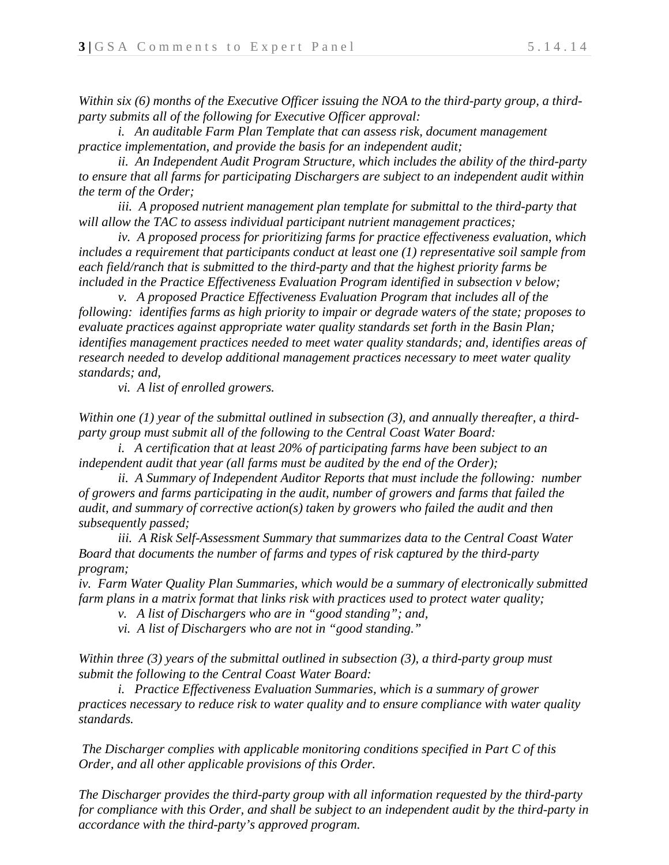*Within six (6) months of the Executive Officer issuing the NOA to the third-party group, a thirdparty submits all of the following for Executive Officer approval:* 

*i. An auditable Farm Plan Template that can assess risk, document management practice implementation, and provide the basis for an independent audit;*

*ii. An Independent Audit Program Structure, which includes the ability of the third-party to ensure that all farms for participating Dischargers are subject to an independent audit within the term of the Order;* 

*iii. A proposed nutrient management plan template for submittal to the third-party that will allow the TAC to assess individual participant nutrient management practices;* 

*iv. A proposed process for prioritizing farms for practice effectiveness evaluation, which includes a requirement that participants conduct at least one (1) representative soil sample from each field/ranch that is submitted to the third-party and that the highest priority farms be included in the Practice Effectiveness Evaluation Program identified in subsection v below;* 

*v. A proposed Practice Effectiveness Evaluation Program that includes all of the following: identifies farms as high priority to impair or degrade waters of the state; proposes to evaluate practices against appropriate water quality standards set forth in the Basin Plan; identifies management practices needed to meet water quality standards; and, identifies areas of research needed to develop additional management practices necessary to meet water quality standards; and,* 

*vi. A list of enrolled growers.*

*Within one (1) year of the submittal outlined in subsection (3), and annually thereafter, a thirdparty group must submit all of the following to the Central Coast Water Board:* 

*i. A certification that at least 20% of participating farms have been subject to an independent audit that year (all farms must be audited by the end of the Order);* 

*ii. A Summary of Independent Auditor Reports that must include the following: number of growers and farms participating in the audit, number of growers and farms that failed the audit, and summary of corrective action(s) taken by growers who failed the audit and then subsequently passed;*

*iii. A Risk Self-Assessment Summary that summarizes data to the Central Coast Water Board that documents the number of farms and types of risk captured by the third-party program;* 

*iv. Farm Water Quality Plan Summaries, which would be a summary of electronically submitted farm plans in a matrix format that links risk with practices used to protect water quality;* 

*v. A list of Dischargers who are in "good standing"; and,* 

*vi. A list of Dischargers who are not in "good standing."* 

*Within three (3) years of the submittal outlined in subsection (3), a third-party group must submit the following to the Central Coast Water Board:* 

*i. Practice Effectiveness Evaluation Summaries, which is a summary of grower practices necessary to reduce risk to water quality and to ensure compliance with water quality standards.* 

*The Discharger complies with applicable monitoring conditions specified in Part C of this Order, and all other applicable provisions of this Order.* 

*The Discharger provides the third-party group with all information requested by the third-party for compliance with this Order, and shall be subject to an independent audit by the third-party in accordance with the third-party's approved program.*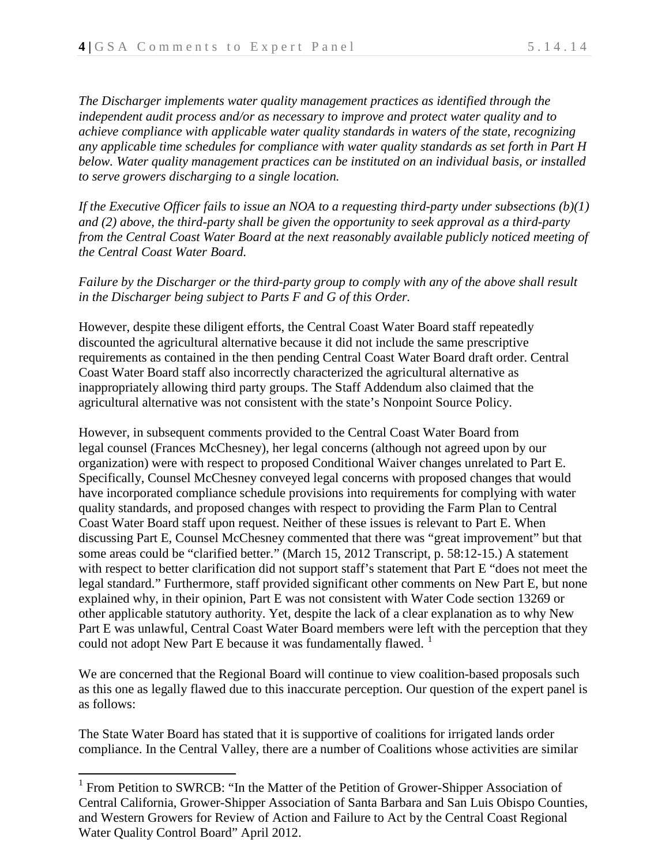*The Discharger implements water quality management practices as identified through the independent audit process and/or as necessary to improve and protect water quality and to achieve compliance with applicable water quality standards in waters of the state, recognizing any applicable time schedules for compliance with water quality standards as set forth in Part H below. Water quality management practices can be instituted on an individual basis, or installed to serve growers discharging to a single location.*

*If the Executive Officer fails to issue an NOA to a requesting third-party under subsections (b)(1) and (2) above, the third-party shall be given the opportunity to seek approval as a third-party from the Central Coast Water Board at the next reasonably available publicly noticed meeting of the Central Coast Water Board.* 

### *Failure by the Discharger or the third-party group to comply with any of the above shall result in the Discharger being subject to Parts F and G of this Order.*

However, despite these diligent efforts, the Central Coast Water Board staff repeatedly discounted the agricultural alternative because it did not include the same prescriptive requirements as contained in the then pending Central Coast Water Board draft order. Central Coast Water Board staff also incorrectly characterized the agricultural alternative as inappropriately allowing third party groups. The Staff Addendum also claimed that the agricultural alternative was not consistent with the state's Nonpoint Source Policy.

However, in subsequent comments provided to the Central Coast Water Board from legal counsel (Frances McChesney), her legal concerns (although not agreed upon by our organization) were with respect to proposed Conditional Waiver changes unrelated to Part E. Specifically, Counsel McChesney conveyed legal concerns with proposed changes that would have incorporated compliance schedule provisions into requirements for complying with water quality standards, and proposed changes with respect to providing the Farm Plan to Central Coast Water Board staff upon request. Neither of these issues is relevant to Part E. When discussing Part E, Counsel McChesney commented that there was "great improvement" but that some areas could be "clarified better." (March 15, 2012 Transcript, p. 58:12-15.) A statement with respect to better clarification did not support staff's statement that Part E "does not meet the legal standard." Furthermore, staff provided significant other comments on New Part E, but none explained why, in their opinion, Part E was not consistent with Water Code section 13269 or other applicable statutory authority. Yet, despite the lack of a clear explanation as to why New Part E was unlawful, Central Coast Water Board members were left with the perception that they could not adopt New Part E because it was fundamentally flawed.<sup>[1](#page-3-0)</sup>

We are concerned that the Regional Board will continue to view coalition-based proposals such as this one as legally flawed due to this inaccurate perception. Our question of the expert panel is as follows:

The State Water Board has stated that it is supportive of coalitions for irrigated lands order compliance. In the Central Valley, there are a number of Coalitions whose activities are similar

<span id="page-3-0"></span><sup>&</sup>lt;sup>1</sup> From Petition to SWRCB: "In the Matter of the Petition of Grower-Shipper Association of Central California, Grower-Shipper Association of Santa Barbara and San Luis Obispo Counties, and Western Growers for Review of Action and Failure to Act by the Central Coast Regional Water Quality Control Board" April 2012.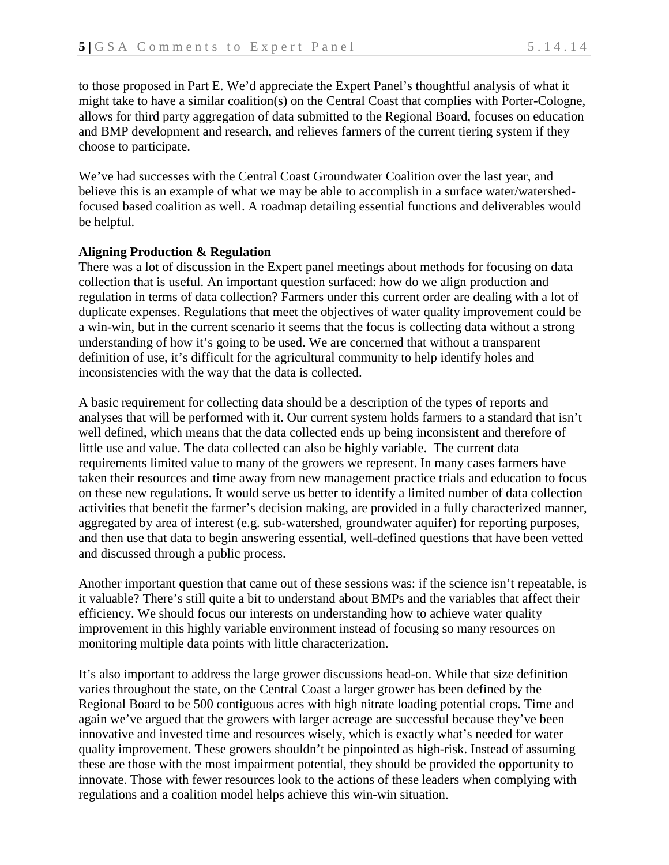to those proposed in Part E. We'd appreciate the Expert Panel's thoughtful analysis of what it might take to have a similar coalition(s) on the Central Coast that complies with Porter-Cologne, allows for third party aggregation of data submitted to the Regional Board, focuses on education and BMP development and research, and relieves farmers of the current tiering system if they choose to participate.

We've had successes with the Central Coast Groundwater Coalition over the last year, and believe this is an example of what we may be able to accomplish in a surface water/watershedfocused based coalition as well. A roadmap detailing essential functions and deliverables would be helpful.

## **Aligning Production & Regulation**

There was a lot of discussion in the Expert panel meetings about methods for focusing on data collection that is useful. An important question surfaced: how do we align production and regulation in terms of data collection? Farmers under this current order are dealing with a lot of duplicate expenses. Regulations that meet the objectives of water quality improvement could be a win-win, but in the current scenario it seems that the focus is collecting data without a strong understanding of how it's going to be used. We are concerned that without a transparent definition of use, it's difficult for the agricultural community to help identify holes and inconsistencies with the way that the data is collected.

A basic requirement for collecting data should be a description of the types of reports and analyses that will be performed with it. Our current system holds farmers to a standard that isn't well defined, which means that the data collected ends up being inconsistent and therefore of little use and value. The data collected can also be highly variable. The current data requirements limited value to many of the growers we represent. In many cases farmers have taken their resources and time away from new management practice trials and education to focus on these new regulations. It would serve us better to identify a limited number of data collection activities that benefit the farmer's decision making, are provided in a fully characterized manner, aggregated by area of interest (e.g. sub-watershed, groundwater aquifer) for reporting purposes, and then use that data to begin answering essential, well-defined questions that have been vetted and discussed through a public process.

Another important question that came out of these sessions was: if the science isn't repeatable, is it valuable? There's still quite a bit to understand about BMPs and the variables that affect their efficiency. We should focus our interests on understanding how to achieve water quality improvement in this highly variable environment instead of focusing so many resources on monitoring multiple data points with little characterization.

It's also important to address the large grower discussions head-on. While that size definition varies throughout the state, on the Central Coast a larger grower has been defined by the Regional Board to be 500 contiguous acres with high nitrate loading potential crops. Time and again we've argued that the growers with larger acreage are successful because they've been innovative and invested time and resources wisely, which is exactly what's needed for water quality improvement. These growers shouldn't be pinpointed as high-risk. Instead of assuming these are those with the most impairment potential, they should be provided the opportunity to innovate. Those with fewer resources look to the actions of these leaders when complying with regulations and a coalition model helps achieve this win-win situation.